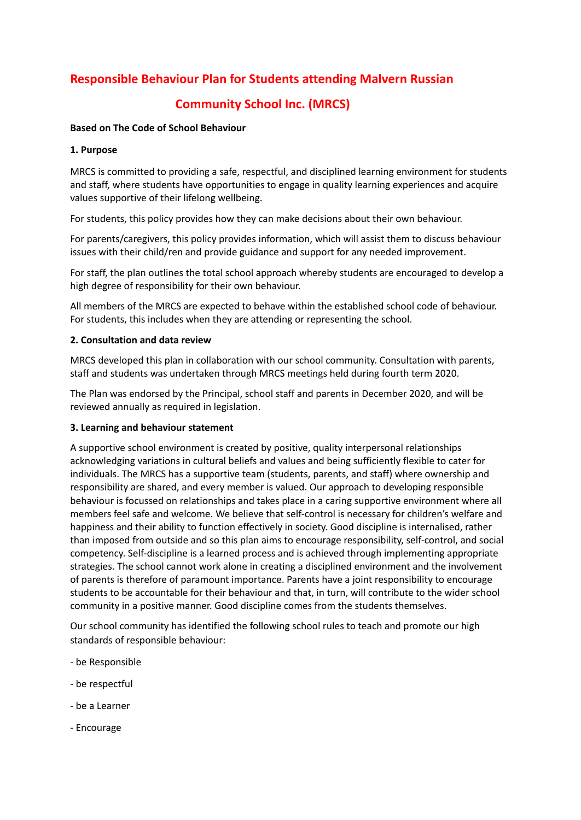# **Responsible Behaviour Plan for Students attending Malvern Russian**

# **Community School Inc. (MRCS)**

### **Based on The Code of School Behaviour**

## **1. Purpose**

MRCS is committed to providing a safe, respectful, and disciplined learning environment for students and staff, where students have opportunities to engage in quality learning experiences and acquire values supportive of their lifelong wellbeing.

For students, this policy provides how they can make decisions about their own behaviour.

For parents/caregivers, this policy provides information, which will assist them to discuss behaviour issues with their child/ren and provide guidance and support for any needed improvement.

For staff, the plan outlines the total school approach whereby students are encouraged to develop a high degree of responsibility for their own behaviour.

All members of the MRCS are expected to behave within the established school code of behaviour. For students, this includes when they are attending or representing the school.

### **2. Consultation and data review**

MRCS developed this plan in collaboration with our school community. Consultation with parents, staff and students was undertaken through MRCS meetings held during fourth term 2020.

The Plan was endorsed by the Principal, school staff and parents in December 2020, and will be reviewed annually as required in legislation.

### **3. Learning and behaviour statement**

A supportive school environment is created by positive, quality interpersonal relationships acknowledging variations in cultural beliefs and values and being sufficiently flexible to cater for individuals. The MRCS has a supportive team (students, parents, and staff) where ownership and responsibility are shared, and every member is valued. Our approach to developing responsible behaviour is focussed on relationships and takes place in a caring supportive environment where all members feel safe and welcome. We believe that self-control is necessary for children's welfare and happiness and their ability to function effectively in society. Good discipline is internalised, rather than imposed from outside and so this plan aims to encourage responsibility, self-control, and social competency. Self-discipline is a learned process and is achieved through implementing appropriate strategies. The school cannot work alone in creating a disciplined environment and the involvement of parents is therefore of paramount importance. Parents have a joint responsibility to encourage students to be accountable for their behaviour and that, in turn, will contribute to the wider school community in a positive manner. Good discipline comes from the students themselves.

Our school community has identified the following school rules to teach and promote our high standards of responsible behaviour:

- be Responsible
- be respectful
- be a Learner
- Encourage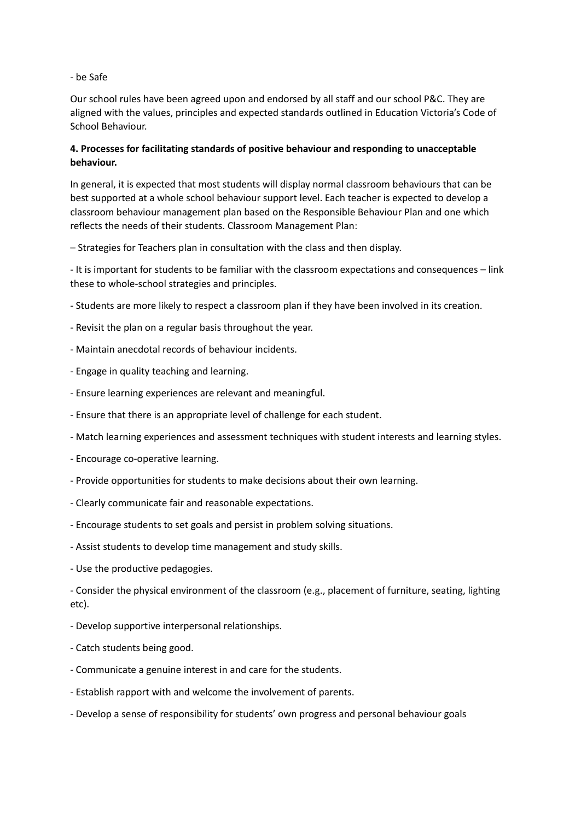- be Safe

Our school rules have been agreed upon and endorsed by all staff and our school P&C. They are aligned with the values, principles and expected standards outlined in Education Victoria's Code of School Behaviour.

# **4. Processes for facilitating standards of positive behaviour and responding to unacceptable behaviour.**

In general, it is expected that most students will display normal classroom behaviours that can be best supported at a whole school behaviour support level. Each teacher is expected to develop a classroom behaviour management plan based on the Responsible Behaviour Plan and one which reflects the needs of their students. Classroom Management Plan:

– Strategies for Teachers plan in consultation with the class and then display.

- It is important for students to be familiar with the classroom expectations and consequences – link these to whole-school strategies and principles.

- Students are more likely to respect a classroom plan if they have been involved in its creation.
- Revisit the plan on a regular basis throughout the year.
- Maintain anecdotal records of behaviour incidents.
- Engage in quality teaching and learning.
- Ensure learning experiences are relevant and meaningful.
- Ensure that there is an appropriate level of challenge for each student.
- Match learning experiences and assessment techniques with student interests and learning styles.
- Encourage co-operative learning.
- Provide opportunities for students to make decisions about their own learning.
- Clearly communicate fair and reasonable expectations.
- Encourage students to set goals and persist in problem solving situations.
- Assist students to develop time management and study skills.
- Use the productive pedagogies.

- Consider the physical environment of the classroom (e.g., placement of furniture, seating, lighting etc).

- Develop supportive interpersonal relationships.
- Catch students being good.
- Communicate a genuine interest in and care for the students.
- Establish rapport with and welcome the involvement of parents.
- Develop a sense of responsibility for students' own progress and personal behaviour goals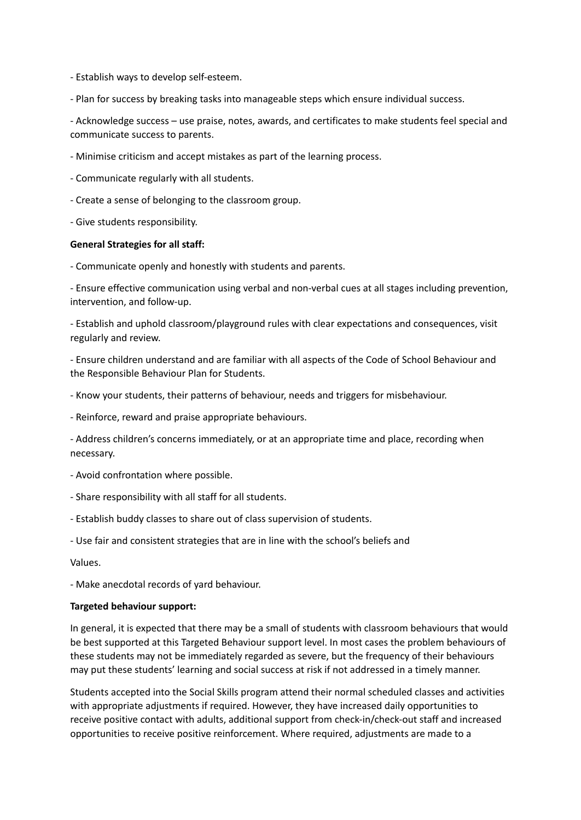- Establish ways to develop self-esteem.

- Plan for success by breaking tasks into manageable steps which ensure individual success.

- Acknowledge success – use praise, notes, awards, and certificates to make students feel special and communicate success to parents.

- Minimise criticism and accept mistakes as part of the learning process.

- Communicate regularly with all students.

- Create a sense of belonging to the classroom group.

- Give students responsibility.

#### **General Strategies for all staff:**

- Communicate openly and honestly with students and parents.

- Ensure effective communication using verbal and non-verbal cues at all stages including prevention, intervention, and follow-up.

- Establish and uphold classroom/playground rules with clear expectations and consequences, visit regularly and review.

- Ensure children understand and are familiar with all aspects of the Code of School Behaviour and the Responsible Behaviour Plan for Students.

- Know your students, their patterns of behaviour, needs and triggers for misbehaviour.

- Reinforce, reward and praise appropriate behaviours.

- Address children's concerns immediately, or at an appropriate time and place, recording when necessary.

- Avoid confrontation where possible.
- Share responsibility with all staff for all students.
- Establish buddy classes to share out of class supervision of students.

- Use fair and consistent strategies that are in line with the school's beliefs and

Values.

- Make anecdotal records of yard behaviour.

#### **Targeted behaviour support:**

In general, it is expected that there may be a small of students with classroom behaviours that would be best supported at this Targeted Behaviour support level. In most cases the problem behaviours of these students may not be immediately regarded as severe, but the frequency of their behaviours may put these students' learning and social success at risk if not addressed in a timely manner.

Students accepted into the Social Skills program attend their normal scheduled classes and activities with appropriate adjustments if required. However, they have increased daily opportunities to receive positive contact with adults, additional support from check-in/check-out staff and increased opportunities to receive positive reinforcement. Where required, adjustments are made to a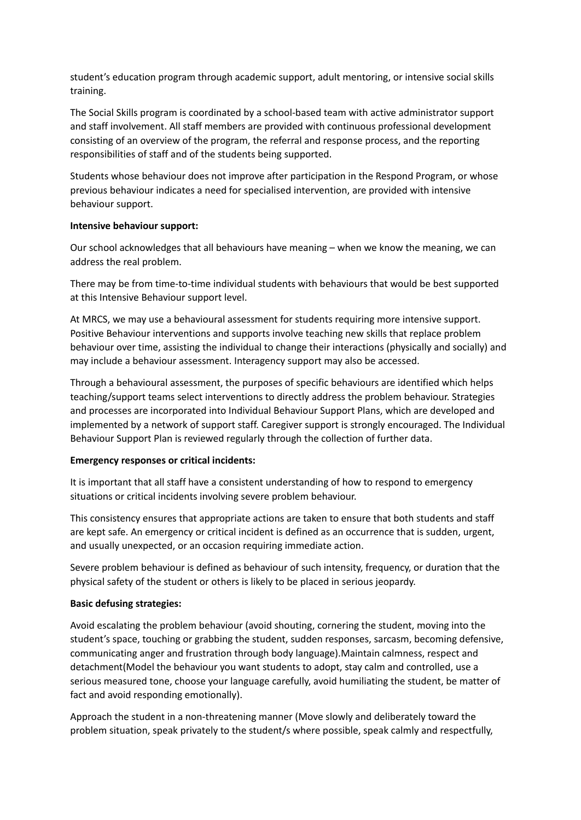student's education program through academic support, adult mentoring, or intensive social skills training.

The Social Skills program is coordinated by a school-based team with active administrator support and staff involvement. All staff members are provided with continuous professional development consisting of an overview of the program, the referral and response process, and the reporting responsibilities of staff and of the students being supported.

Students whose behaviour does not improve after participation in the Respond Program, or whose previous behaviour indicates a need for specialised intervention, are provided with intensive behaviour support.

### **Intensive behaviour support:**

Our school acknowledges that all behaviours have meaning – when we know the meaning, we can address the real problem.

There may be from time-to-time individual students with behaviours that would be best supported at this Intensive Behaviour support level.

At MRCS, we may use a behavioural assessment for students requiring more intensive support. Positive Behaviour interventions and supports involve teaching new skills that replace problem behaviour over time, assisting the individual to change their interactions (physically and socially) and may include a behaviour assessment. Interagency support may also be accessed.

Through a behavioural assessment, the purposes of specific behaviours are identified which helps teaching/support teams select interventions to directly address the problem behaviour. Strategies and processes are incorporated into Individual Behaviour Support Plans, which are developed and implemented by a network of support staff. Caregiver support is strongly encouraged. The Individual Behaviour Support Plan is reviewed regularly through the collection of further data.

### **Emergency responses or critical incidents:**

It is important that all staff have a consistent understanding of how to respond to emergency situations or critical incidents involving severe problem behaviour.

This consistency ensures that appropriate actions are taken to ensure that both students and staff are kept safe. An emergency or critical incident is defined as an occurrence that is sudden, urgent, and usually unexpected, or an occasion requiring immediate action.

Severe problem behaviour is defined as behaviour of such intensity, frequency, or duration that the physical safety of the student or others is likely to be placed in serious jeopardy.

## **Basic defusing strategies:**

Avoid escalating the problem behaviour (avoid shouting, cornering the student, moving into the student's space, touching or grabbing the student, sudden responses, sarcasm, becoming defensive, communicating anger and frustration through body language).Maintain calmness, respect and detachment(Model the behaviour you want students to adopt, stay calm and controlled, use a serious measured tone, choose your language carefully, avoid humiliating the student, be matter of fact and avoid responding emotionally).

Approach the student in a non-threatening manner (Move slowly and deliberately toward the problem situation, speak privately to the student/s where possible, speak calmly and respectfully,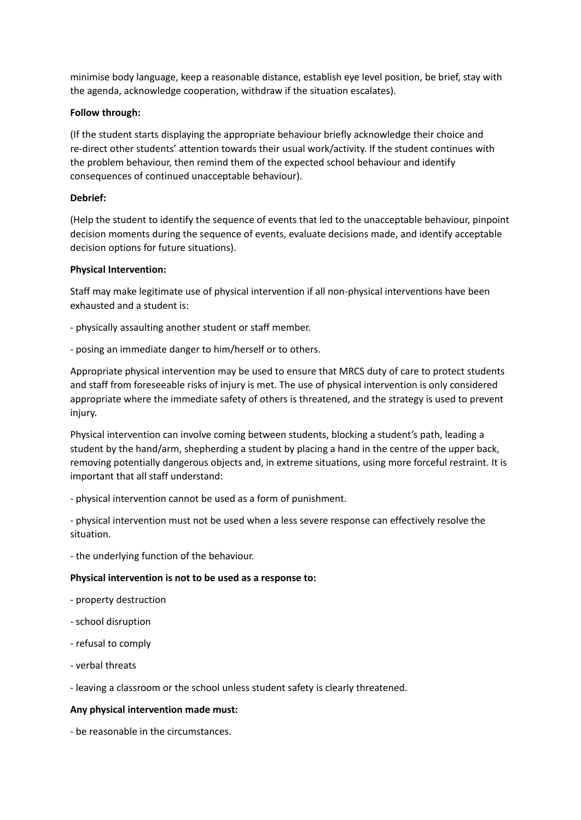minimise body language, keep a reasonable distance, establish eye level position, be brief, stay with the agenda, acknowledge cooperation, withdraw if the situation escalates).

## **Follow through:**

(If the student starts displaying the appropriate behaviour briefly acknowledge their choice and re-direct other students' attention towards their usual work/activity. If the student continues with the problem behaviour, then remind them of the expected school behaviour and identify consequences of continued unacceptable behaviour).

## **Debrief:**

(Help the student to identify the sequence of events that led to the unacceptable behaviour, pinpoint decision moments during the sequence of events, evaluate decisions made, and identify acceptable decision options for future situations).

## **Physical Intervention:**

Staff may make legitimate use of physical intervention if all non-physical interventions have been exhausted and a student is:

- physically assaulting another student or staff member.

- posing an immediate danger to him/herself or to others.

Appropriate physical intervention may be used to ensure that MRCS duty of care to protect students and staff from foreseeable risks of injury is met. The use of physical intervention is only considered appropriate where the immediate safety of others is threatened, and the strategy is used to prevent injury.

Physical intervention can involve coming between students, blocking a student's path, leading a student by the hand/arm, shepherding a student by placing a hand in the centre of the upper back, removing potentially dangerous objects and, in extreme situations, using more forceful restraint. It is important that all staff understand:

- physical intervention cannot be used as a form of punishment.

- physical intervention must not be used when a less severe response can effectively resolve the situation.

- the underlying function of the behaviour.

# **Physical intervention is not to be used as a response to:**

- property destruction
- school disruption
- refusal to comply
- verbal threats

- leaving a classroom or the school unless student safety is clearly threatened.

# **Any physical intervention made must:**

- be reasonable in the circumstances.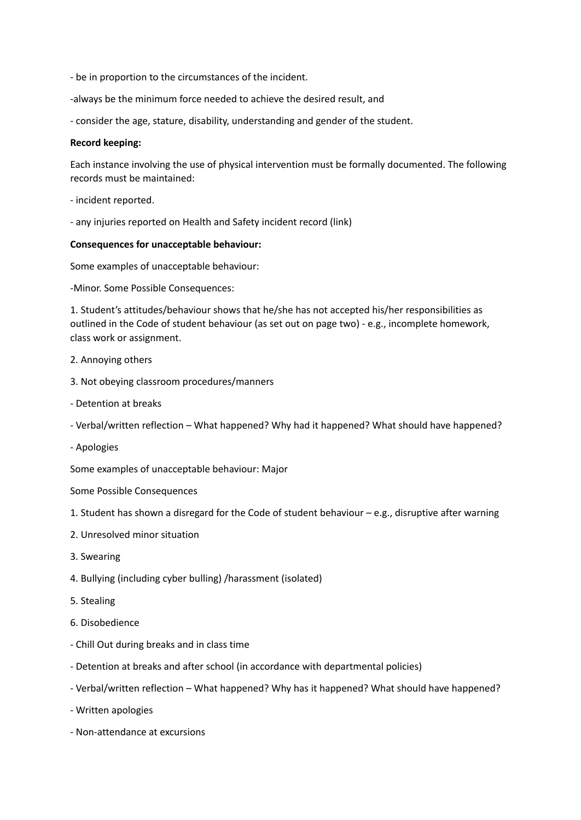- be in proportion to the circumstances of the incident.

-always be the minimum force needed to achieve the desired result, and

- consider the age, stature, disability, understanding and gender of the student.

#### **Record keeping:**

Each instance involving the use of physical intervention must be formally documented. The following records must be maintained:

- incident reported.
- any injuries reported on Health and Safety incident record (link)

#### **Consequences for unacceptable behaviour:**

Some examples of unacceptable behaviour:

-Minor. Some Possible Consequences:

1. Student's attitudes/behaviour shows that he/she has not accepted his/her responsibilities as outlined in the Code of student behaviour (as set out on page two) - e.g., incomplete homework, class work or assignment.

- 2. Annoying others
- 3. Not obeying classroom procedures/manners
- Detention at breaks
- Verbal/written reflection What happened? Why had it happened? What should have happened?
- Apologies

Some examples of unacceptable behaviour: Major

Some Possible Consequences

- 1. Student has shown a disregard for the Code of student behaviour e.g., disruptive after warning
- 2. Unresolved minor situation
- 3. Swearing
- 4. Bullying (including cyber bulling) /harassment (isolated)
- 5. Stealing
- 6. Disobedience
- Chill Out during breaks and in class time
- Detention at breaks and after school (in accordance with departmental policies)
- Verbal/written reflection What happened? Why has it happened? What should have happened?
- Written apologies
- Non-attendance at excursions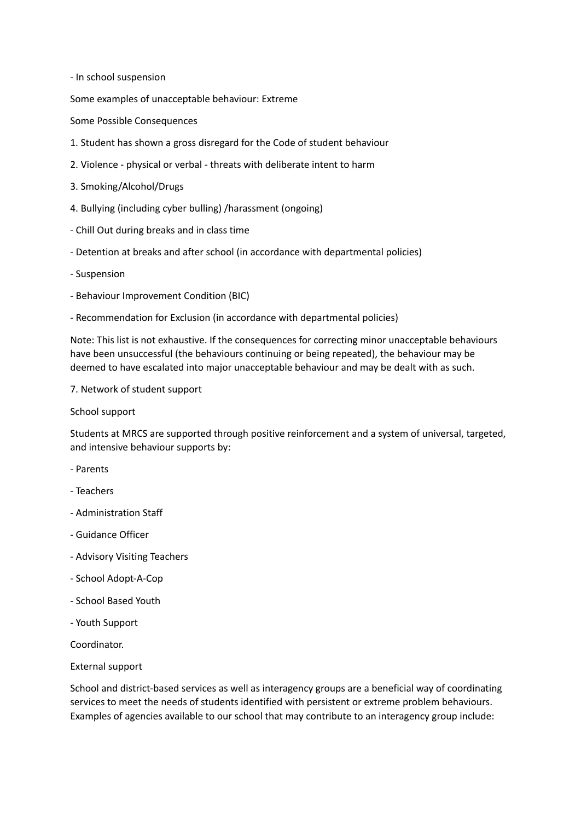- In school suspension

Some examples of unacceptable behaviour: Extreme

Some Possible Consequences

- 1. Student has shown a gross disregard for the Code of student behaviour
- 2. Violence physical or verbal threats with deliberate intent to harm
- 3. Smoking/Alcohol/Drugs
- 4. Bullying (including cyber bulling) /harassment (ongoing)
- Chill Out during breaks and in class time
- Detention at breaks and after school (in accordance with departmental policies)
- Suspension
- Behaviour Improvement Condition (BIC)
- Recommendation for Exclusion (in accordance with departmental policies)

Note: This list is not exhaustive. If the consequences for correcting minor unacceptable behaviours have been unsuccessful (the behaviours continuing or being repeated), the behaviour may be deemed to have escalated into major unacceptable behaviour and may be dealt with as such.

#### 7. Network of student support

School support

Students at MRCS are supported through positive reinforcement and a system of universal, targeted, and intensive behaviour supports by:

- Parents
- Teachers
- Administration Staff
- Guidance Officer
- Advisory Visiting Teachers
- School Adopt-A-Cop
- School Based Youth
- Youth Support

Coordinator.

External support

School and district-based services as well as interagency groups are a beneficial way of coordinating services to meet the needs of students identified with persistent or extreme problem behaviours. Examples of agencies available to our school that may contribute to an interagency group include: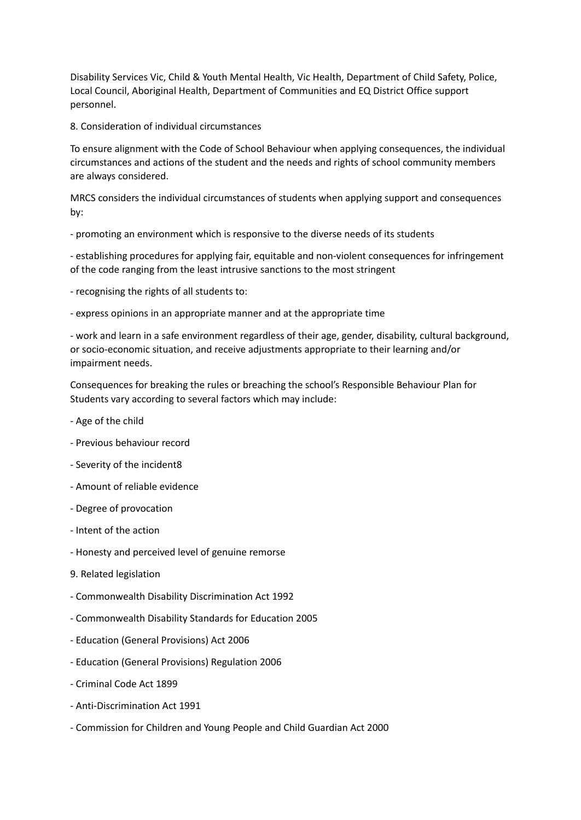Disability Services Vic, Child & Youth Mental Health, Vic Health, Department of Child Safety, Police, Local Council, Aboriginal Health, Department of Communities and EQ District Office support personnel.

8. Consideration of individual circumstances

To ensure alignment with the Code of School Behaviour when applying consequences, the individual circumstances and actions of the student and the needs and rights of school community members are always considered.

MRCS considers the individual circumstances of students when applying support and consequences by:

- promoting an environment which is responsive to the diverse needs of its students

- establishing procedures for applying fair, equitable and non-violent consequences for infringement of the code ranging from the least intrusive sanctions to the most stringent

- recognising the rights of all students to:

- express opinions in an appropriate manner and at the appropriate time

- work and learn in a safe environment regardless of their age, gender, disability, cultural background, or socio-economic situation, and receive adjustments appropriate to their learning and/or impairment needs.

Consequences for breaking the rules or breaching the school's Responsible Behaviour Plan for Students vary according to several factors which may include:

- Age of the child
- Previous behaviour record
- Severity of the incident8
- Amount of reliable evidence
- Degree of provocation
- Intent of the action
- Honesty and perceived level of genuine remorse
- 9. Related legislation
- Commonwealth Disability Discrimination Act 1992
- Commonwealth Disability Standards for Education 2005
- Education (General Provisions) Act 2006
- Education (General Provisions) Regulation 2006
- Criminal Code Act 1899
- Anti-Discrimination Act 1991
- Commission for Children and Young People and Child Guardian Act 2000